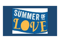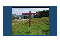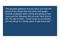The apostles gathered around Jesus and told him about all the things they had done and taught. Crowds of people were coming and going so that Jesus and his followers did not even have time to eat. He said to them, "Come away by yourselves, and we will go to a lonely place to get some rest."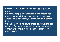So they went in a boat by themselves to a lonely place.

But many people saw them leave and recognized them. So from all the towns they ran to the place where Jesus was going, and they got there before him.

When he arrived, he saw a great crowd waiting. He felt sorry for them, because they were like sheep without a shepherd. So he began to teach them many things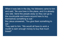When it was late in the day, his followers came to him and said, "No one lives in this place, and it is already very late. Send the people away so they can go to the countryside and towns around here to buy themselves something to eat." But Jesus answered, "You give them something to eat." They said to him, "We would all have to work a month to earn enough money to buy that much bread!"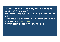Jesus asked them, "How many loaves of bread do you have? Go and see." When they found out, they said, "Five loaves and two fish." Then Jesus told his followers to have the people sit in groups on the green grass So they sat in groups of fifty or a hundred.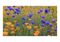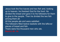Jesus took the five loaves and two fish and, looking up to heaven, he thanked God for the food. He divided the bread and gave it to his followers for them to give to the people. Then he divided the two fish among them all. All the people ate and were satisfied. The followers filled twelve baskets with the leftover pieces of bread and fish. There were five thousand men who ate.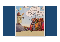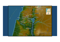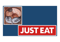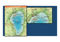

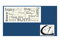$\overline{X}$   $\overline{U}$  busy busy Asy St Pus busy but  $\overline{p}$  $217$ v

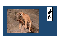

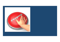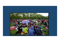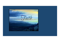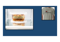

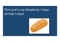## The Lord is my Shepherd; I have all that I need.

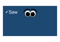

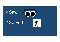



## !Served